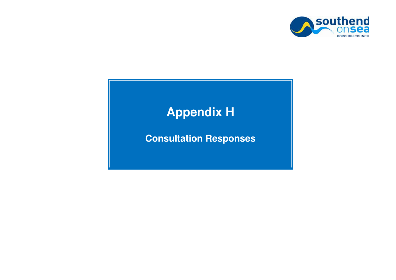

# **Appendix H**

## **Consultation Responses**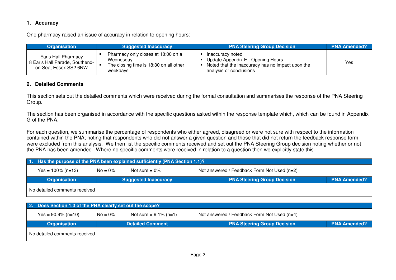### **1. Accuracy**

One pharmacy raised an issue of accuracy in relation to opening hours:

| Organisation                                                                   | <b>Suggested Inaccuracy</b>                                                                           | <b>PNA Steering Group Decision</b>                                                                                                   | <b>PNA Amended?</b> |
|--------------------------------------------------------------------------------|-------------------------------------------------------------------------------------------------------|--------------------------------------------------------------------------------------------------------------------------------------|---------------------|
| Earls Hall Pharmacy<br>8 Earls Hall Parade, Southend-<br>on-Sea, Essex SS2 6NW | Pharmacy only closes at 18:00 on a<br>Wednesdav<br>The closing time is 18:30 on all other<br>weekdays | Inaccuracy noted<br>Update Appendix E - Opening Hours<br>Noted that the inaccuracy has no impact upon the<br>analysis or conclusions | Yes                 |

#### **2. Detailed Comments**

This section sets out the detailed comments which were received during the formal consultation and summarises the response of the PNA Steering Group.

The section has been organised in accordance with the specific questions asked within the response template which, which can be found in Appendix G of the PNA.

For each question, we summarise the percentage of respondents who either agreed, disagreed or were not sure with respect to the information contained within the PNA; noting that respondents who did not answer a given question and those that did not return the feedback response form were excluded from this analysis. We then list the specific comments received and set out the PNA Steering Group decision noting whether or not the PNA has been amended. Where no specific comments were received in relation to a question then we explicitly state this.

| 1. Has the purpose of the PNA been explained sufficiently (PNA Section 1.1)? |                                                                               |                             |                                    |                     |  |
|------------------------------------------------------------------------------|-------------------------------------------------------------------------------|-----------------------------|------------------------------------|---------------------|--|
| $Yes = 100\% (n=13)$                                                         | Not answered / Feedback Form Not Used (n=2)<br>$No = 0\%$<br>Not sure $= 0\%$ |                             |                                    |                     |  |
| Organisation                                                                 |                                                                               | <b>Suggested Inaccuracy</b> | <b>PNA Steering Group Decision</b> | <b>PNA Amended?</b> |  |
| No detailed comments received                                                |                                                                               |                             |                                    |                     |  |

|                               | 2. Does Section 1.3 of the PNA clearly set out the scope? |                          |                                             |                     |  |  |
|-------------------------------|-----------------------------------------------------------|--------------------------|---------------------------------------------|---------------------|--|--|
| $Yes = 90.9\% (n=10)$         | $No = 0\%$                                                | Not sure = $9.1\%$ (n=1) | Not answered / Feedback Form Not Used (n=4) |                     |  |  |
| <b>Organisation</b>           |                                                           | <b>Detailed Comment</b>  | <b>PNA Steering Group Decision</b>          | <b>PNA Amended?</b> |  |  |
| No detailed comments received |                                                           |                          |                                             |                     |  |  |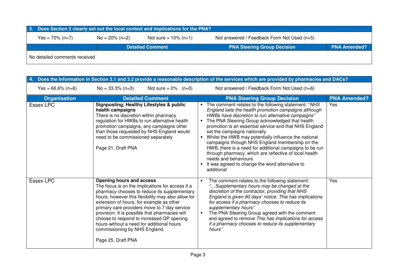| 3. Does Section 2 clearly set out the local context and implications for the PNA?                                 |  |                         |                                    |                     |  |
|-------------------------------------------------------------------------------------------------------------------|--|-------------------------|------------------------------------|---------------------|--|
| Not answered / Feedback Form Not Used (n=5)<br>$No = 20\% (n=2)$<br>Yes = $70\%$ (n=7)<br>Not sure = $10\%$ (n=1) |  |                         |                                    |                     |  |
|                                                                                                                   |  | <b>Detailed Comment</b> | <b>PNA Steering Group Decision</b> | <b>PNA Amended?</b> |  |
| No detailed comments received                                                                                     |  |                         |                                    |                     |  |

| 4.                   |                                                                                                                                                                                                                                                                                                                                                                                                                                                                                          | Does the Information in Section 3.1 and 3.2 provide a reasonable description of the services which are provided by pharmacies and DACs?                                                                                                                                                                                                                                                                                                                                                                                                                                                                                                   |                     |
|----------------------|------------------------------------------------------------------------------------------------------------------------------------------------------------------------------------------------------------------------------------------------------------------------------------------------------------------------------------------------------------------------------------------------------------------------------------------------------------------------------------------|-------------------------------------------------------------------------------------------------------------------------------------------------------------------------------------------------------------------------------------------------------------------------------------------------------------------------------------------------------------------------------------------------------------------------------------------------------------------------------------------------------------------------------------------------------------------------------------------------------------------------------------------|---------------------|
| Yes = $66.6\%$ (n=6) | Not sure = $0\%$ (n=0)<br>$No = 33.3\% (n=3)$                                                                                                                                                                                                                                                                                                                                                                                                                                            | Not answered / Feedback Form Not Used (n=6)                                                                                                                                                                                                                                                                                                                                                                                                                                                                                                                                                                                               |                     |
| <b>Organisation</b>  | <b>Detailed Comment</b>                                                                                                                                                                                                                                                                                                                                                                                                                                                                  | <b>PNA Steering Group Decision</b>                                                                                                                                                                                                                                                                                                                                                                                                                                                                                                                                                                                                        | <b>PNA Amended?</b> |
| Essex LPC            | <b>Signposting, Healthy Lifestyles &amp; public</b><br>health campaigns<br>There is no discretion within pharmacy<br>regulation for HWBs to run alternative health<br>promotion campaigns, any campaigns other<br>than those requested by NHS England would<br>need to be commissioned separately<br>Page 21, Draft PNA                                                                                                                                                                  | The comment relates to the following statement: "NHS<br>England sets the health promotion campaigns although<br>HWBs have discretion to run alternative campaigns"<br>The PNA Steering Group acknowledged that health<br>promotion is an essential service and that NHS England<br>set the campaigns nationally<br>Whilst the HWB may potentially influence the national<br>campaigns through NHS England membership on the<br>HWB, there is a need for additional campaigns to be run<br>through pharmacy, which are reflective of local health<br>needs and behaviours<br>It was agreed to change the word alternative to<br>additional | Yes                 |
| Essex LPC            | <b>Opening hours and access</b><br>The focus is on the implications for access if a<br>pharmacy chooses to reduce its supplementary<br>hours, however this flexibility may also allow for<br>extension of hours, for example as other<br>primary care providers move to 7-day service<br>provision. It is possible that pharmacies will<br>choose to respond to increased GP opening<br>hours without a need for additional hours<br>commissioning by NHS England.<br>Page 25, Draft PNA | The comment relates to the following statement:<br>"Supplementary hours may be changed at the<br>discretion of the contractor, providing that NHS<br>England is given 90 days' notice. This has implications<br>for access if a pharmacy chooses to reduce its<br>supplementary hours"<br>The PNA Steering Group agreed with the comment<br>and agreed to remove This has implications for access<br>if a pharmacy chooses to reduce its supplementary<br>hours"                                                                                                                                                                          | Yes                 |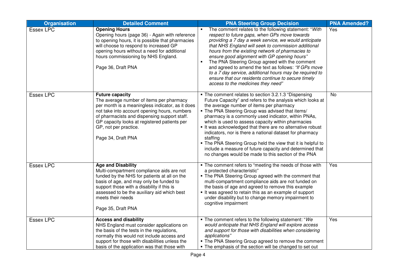| <b>Organisation</b> | <b>Detailed Comment</b>                                                                                                                                                                                                                                                                                               | <b>PNA Steering Group Decision</b>                                                                                                                                                                                                                                                                                                                                                                                                                                                                                                                                                                                                                     | <b>PNA Amended?</b> |
|---------------------|-----------------------------------------------------------------------------------------------------------------------------------------------------------------------------------------------------------------------------------------------------------------------------------------------------------------------|--------------------------------------------------------------------------------------------------------------------------------------------------------------------------------------------------------------------------------------------------------------------------------------------------------------------------------------------------------------------------------------------------------------------------------------------------------------------------------------------------------------------------------------------------------------------------------------------------------------------------------------------------------|---------------------|
| <b>Essex LPC</b>    | <b>Opening Hours</b><br>Opening hours (page 36) - Again with reference<br>to opening hours, it is possible that pharmacies<br>will choose to respond to increased GP<br>opening hours without a need for additional<br>hours commissioning by NHS England.<br>Page 36, Draft PNA                                      | The comment relates to the following statement: "With<br>respect to future gaps, when GPs move towards<br>providing a 7 day a week service, we would anticipate<br>that NHS England will seek to commission additional<br>hours from the existing network of pharmacies to<br>ensure good alignment with GP opening hours"<br>The PNA Steering Group agreed with the comment<br>and agreed to amend the text as follows: "If GPs move<br>to a 7 day service, additional hours may be required to<br>ensure that our residents continue to secure timely<br>access to the medicines they need"                                                          | Yes                 |
| <b>Essex LPC</b>    | <b>Future capacity</b><br>The average number of items per pharmacy<br>per month is a meaningless indicator, as it does<br>not take into account opening hours, numbers<br>of pharmacists and dispensing support staff.<br>GP capacity looks at registered patients per<br>GP, not per practice.<br>Page 34, Draft PNA | • The comment relates to section 3.2.1.3 "Dispensing<br>Future Capacity" and refers to the analysis which looks at<br>the average number of items per pharmacy<br>. The PNA Steering Group was advised that items/<br>pharmacy is a commonly used indicator, within PNAs,<br>which is used to assess capacity within pharmacies<br>It was acknowledged that there are no alternative robust<br>indicators, nor is there a national dataset for pharmacy<br>staffing<br>. The PNA Steering Group held the view that it is helpful to<br>include a measure of future capacity and determined that<br>no changes would be made to this section of the PNA | <b>No</b>           |
| <b>Essex LPC</b>    | <b>Age and Disability</b><br>Multi-compartment compliance aids are not<br>funded by the NHS for patients at all on the<br>basis of age, and may only be funded to<br>support those with a disability if this is<br>assessed to be the auxiliary aid which best<br>meets their needs<br>Page 35, Draft PNA             | . The comment refers to "meeting the needs of those with<br>a protected characteristic"<br>. The PNA Steering Group agreed with the comment that<br>multi-compartment compliance aids are not funded on<br>the basis of age and agreed to remove this example<br>It was agreed to retain this as an example of support<br>under disability but to change memory impairment to<br>cognitive impairment                                                                                                                                                                                                                                                  | Yes                 |
| <b>Essex LPC</b>    | <b>Access and disability</b><br>NHS England must consider applications on<br>the basis of the tests in the regulations,<br>normally this would not include access and<br>support for those with disabilities unless the<br>basis of the application was that those with                                               | . The comment refers to the following statement: "We<br>would anticipate that NHS England will explore access<br>and support for those with disabilities when considering<br>applications"<br>• The PNA Steering Group agreed to remove the comment<br>• The emphasis of the section will be changed to set out                                                                                                                                                                                                                                                                                                                                        | Yes                 |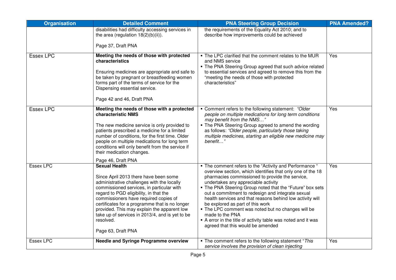| <b>Organisation</b> | <b>Detailed Comment</b>                                                                                                                                                                                                                                                                                                                                                                                                            | <b>PNA Steering Group Decision</b>                                                                                                                                                                                                                                                                                                                                                                                                                                                                                                                                                                              | <b>PNA Amended?</b> |
|---------------------|------------------------------------------------------------------------------------------------------------------------------------------------------------------------------------------------------------------------------------------------------------------------------------------------------------------------------------------------------------------------------------------------------------------------------------|-----------------------------------------------------------------------------------------------------------------------------------------------------------------------------------------------------------------------------------------------------------------------------------------------------------------------------------------------------------------------------------------------------------------------------------------------------------------------------------------------------------------------------------------------------------------------------------------------------------------|---------------------|
|                     | disabilities had difficulty accessing services in<br>the area (regulation 18(2)(b)(ii)).                                                                                                                                                                                                                                                                                                                                           | the requirements of the Equality Act 2010; and to<br>describe how improvements could be achieved                                                                                                                                                                                                                                                                                                                                                                                                                                                                                                                |                     |
|                     | Page 37, Draft PNA                                                                                                                                                                                                                                                                                                                                                                                                                 |                                                                                                                                                                                                                                                                                                                                                                                                                                                                                                                                                                                                                 |                     |
| Essex LPC           | Meeting the needs of those with protected<br>characteristics<br>Ensuring medicines are appropriate and safe to<br>be taken by pregnant or breastfeeding women<br>forms part of the terms of service for the<br>Dispensing essential service.<br>Page 42 and 46, Draft PNA                                                                                                                                                          | . The LPC clarified that the comment relates to the MUR<br>and NMS service<br>• The PNA Steering Group agreed that such advice related<br>to essential services and agreed to remove this from the<br>"meeting the needs of those with protected<br>characteristics"                                                                                                                                                                                                                                                                                                                                            | Yes                 |
|                     |                                                                                                                                                                                                                                                                                                                                                                                                                                    |                                                                                                                                                                                                                                                                                                                                                                                                                                                                                                                                                                                                                 |                     |
| <b>Essex LPC</b>    | Meeting the needs of those with a protected<br>characteristic NMS<br>The new medicine service is only provided to<br>patients prescribed a medicine for a limited<br>number of conditions, for the first time. Older<br>people on multiple medications for long term<br>conditions will only benefit from the service if<br>their medication changes.<br>Page 46, Draft PNA                                                        | • Comment refers to the following statement: "Older<br>people on multiple medications for long term conditions<br>may benefit from the NMS"<br>. The PNA Steering Group agreed to amend the wording<br>as follows: "Older people, particularly those taking<br>multiple medicines, starting an eligible new medicine may<br>benefit"                                                                                                                                                                                                                                                                            | Yes                 |
| Essex LPC           | <b>Sexual Health</b><br>Since April 2013 there have been some<br>administrative challenges with the locally<br>commissioned services, in particular with<br>regard to PGD eligibility, in that the<br>commissioners have required copies of<br>certificates for a programme that is no longer<br>provided. This may explain the apparent low<br>take up of services in 2013/4, and is yet to be<br>resolved.<br>Page 63, Draft PNA | • The comment refers to the "Activity and Performance "<br>overview section, which identifies that only one of the 18<br>pharmacies commissioned to provide the service,<br>undertakes any appreciable activity<br>. The PNA Steering Group noted that the "Future" box sets<br>out a commitment to redesign and integrate sexual<br>health services and that reasons behind low activity will<br>be explored as part of this work<br>. The LPC comment was noted but no changes will be<br>made to the PNA<br>A error in the title of activity table was noted and it was<br>agreed that this would be amended | Yes                 |
| <b>Essex LPC</b>    | <b>Needle and Syringe Programme overview</b>                                                                                                                                                                                                                                                                                                                                                                                       | • The comment refers to the following statement "This<br>service involves the provision of clean injecting                                                                                                                                                                                                                                                                                                                                                                                                                                                                                                      | Yes                 |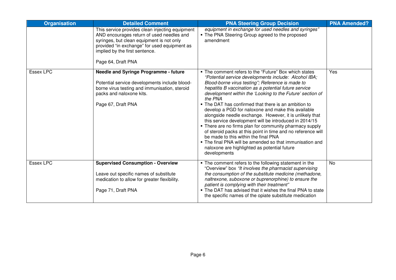| <b>Organisation</b> | <b>Detailed Comment</b>                                                                                                                                                                                                                           | <b>PNA Steering Group Decision</b>                                                                                                                                                                                                                                                                                                                                                                                                                                                                                                                                                                                                                                                                                                                                                                                                    | <b>PNA Amended?</b> |
|---------------------|---------------------------------------------------------------------------------------------------------------------------------------------------------------------------------------------------------------------------------------------------|---------------------------------------------------------------------------------------------------------------------------------------------------------------------------------------------------------------------------------------------------------------------------------------------------------------------------------------------------------------------------------------------------------------------------------------------------------------------------------------------------------------------------------------------------------------------------------------------------------------------------------------------------------------------------------------------------------------------------------------------------------------------------------------------------------------------------------------|---------------------|
|                     | This service provides clean injecting equipment<br>AND encourages return of used needles and<br>syringes, but clean equipment is not only<br>provided "in exchange" for used equipment as<br>implied by the first sentence.<br>Page 64, Draft PNA | equipment in exchange for used needles and syringes"<br>• The PNA Steering Group agreed to the proposed<br>amendment                                                                                                                                                                                                                                                                                                                                                                                                                                                                                                                                                                                                                                                                                                                  |                     |
| <b>Essex LPC</b>    | <b>Needle and Syringe Programme - future</b><br>Potential service developments include blood-<br>borne virus testing and immunisation, steroid<br>packs and naloxone kits.<br>Page 67, Draft PNA                                                  | • The comment refers to the "Future" Box which states<br>"Potential service developments include: Alcohol IBA;<br>Blood-borne virus testing"; Reference is made to<br>hepatitis B vaccination as a potential future service<br>development within the 'Looking to the Future' section of<br>the PNA<br>• The DAT has confirmed that there is an ambition to<br>develop a PGD for naloxone and make this available<br>alongside needle exchange. However, it is unlikely that<br>this service development will be introduced in 2014/15<br>• There are no firms plan for community pharmacy supply<br>of steroid packs at this point in time and no reference will<br>be made to this within the final PNA<br>. The final PNA will be amended so that immunisation and<br>naloxone are highlighted as potential future<br>developments | Yes                 |
| <b>Essex LPC</b>    | <b>Supervised Consumption - Overview</b><br>Leave out specific names of substitute<br>medication to allow for greater flexibility.<br>Page 71, Draft PNA                                                                                          | • The comment refers to the following statement in the<br>"Overview" box "It involves the pharmacist supervising<br>the consumption of the substitute medicine (methadone,<br>naltrexone, suboxone or buprenorphine) to ensure the<br>patient is complying with their treatment"<br>• The DAT has advised that it wishes the final PNA to state<br>the specific names of the opiate substitute medication                                                                                                                                                                                                                                                                                                                                                                                                                             | No                  |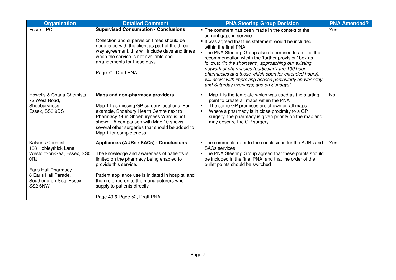| <b>Organisation</b>                                                                                                                                                        | <b>Detailed Comment</b>                                                                                                                                                                                                                                                                                                     | <b>PNA Steering Group Decision</b>                                                                                                                                                                                                                                                                                                                                                                                                                                                                                                                       | <b>PNA Amended?</b> |
|----------------------------------------------------------------------------------------------------------------------------------------------------------------------------|-----------------------------------------------------------------------------------------------------------------------------------------------------------------------------------------------------------------------------------------------------------------------------------------------------------------------------|----------------------------------------------------------------------------------------------------------------------------------------------------------------------------------------------------------------------------------------------------------------------------------------------------------------------------------------------------------------------------------------------------------------------------------------------------------------------------------------------------------------------------------------------------------|---------------------|
| <b>Essex LPC</b>                                                                                                                                                           | <b>Supervised Consumption - Conclusions</b><br>Collection and supervision times should be<br>negotiated with the client as part of the three-<br>way agreement, this will include days and times<br>when the service is not available and<br>arrangements for those days.<br>Page 71, Draft PNA                             | ■ The comment has been made in the context of the<br>current gaps in service<br>It was agreed that this statement would be included<br>within the final PNA<br>. The PNA Steering Group also determined to amend the<br>recommendation within the 'further provision' box as<br>follows: "In the short term, approaching our existing<br>network of pharmacies (particularly the 100 hour<br>pharmacies and those which open for extended hours),<br>will assist with improving access particularly on weekday<br>and Saturday evenings; and on Sundays" | Yes                 |
| Howells & Chana Chemists<br>72 West Road,<br>Shoeburyness<br>Essex, SS3 9DS                                                                                                | Maps and non-pharmacy providers<br>Map 1 has missing GP surgery locations. For<br>example, Shoebury Health Centre next to<br>Pharmacy 14 in Shoeburyness Ward is not<br>shown. A comparison with Map 10 shows<br>several other surgeries that should be added to<br>Map 1 for completeness.                                 | Map 1 is the template which was used as the starting<br>point to create all maps within the PNA<br>The same GP premises are shown on all maps.<br>$\blacksquare$<br>Where a pharmacy is in close proximity to a GP<br>surgery, the pharmacy is given priority on the map and<br>may obscure the GP surgery                                                                                                                                                                                                                                               | No                  |
| <b>Kalsons Chemist</b><br>138 Hobleythick Lane,<br>Westcliff-on-Sea, Essex, SS0<br>0RJ<br>Earls Hall Pharmacy<br>8 Earls Hall Parade.<br>Southend-on-Sea, Essex<br>SS2 6NW | Appliances (AURs / SACs) - Conclusions<br>The knowledge and awareness of patients is<br>limited on the pharmacy being enabled to<br>provide this service.<br>Patient appliance use is initiated in hospital and<br>then referred on to the manufacturers who<br>supply to patients directly<br>Page 49 & Page 52, Draft PNA | • The comments refer to the conclusions for the AURs and<br><b>SACs services</b><br>• The PNA Steering Group agreed that these points should<br>be included in the final PNA; and that the order of the<br>bullet points should be switched                                                                                                                                                                                                                                                                                                              | Yes                 |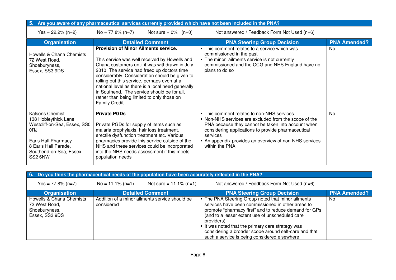| 5. Are you aware of any pharmaceutical services currently provided which have not been included in the PNA?                                                         |                                                                                                                                                                                                                                                                                                                                                                                                                                                                    |                        |                                                                                                                                                                                                                                                                                                         |                     |  |
|---------------------------------------------------------------------------------------------------------------------------------------------------------------------|--------------------------------------------------------------------------------------------------------------------------------------------------------------------------------------------------------------------------------------------------------------------------------------------------------------------------------------------------------------------------------------------------------------------------------------------------------------------|------------------------|---------------------------------------------------------------------------------------------------------------------------------------------------------------------------------------------------------------------------------------------------------------------------------------------------------|---------------------|--|
| Yes = $22.2\%$ (n=2)                                                                                                                                                | $No = 77.8\% (n=7)$                                                                                                                                                                                                                                                                                                                                                                                                                                                | Not sure = $0\%$ (n=0) | Not answered / Feedback Form Not Used (n=6)                                                                                                                                                                                                                                                             |                     |  |
| <b>Organisation</b>                                                                                                                                                 | <b>Detailed Comment</b>                                                                                                                                                                                                                                                                                                                                                                                                                                            |                        | <b>PNA Steering Group Decision</b>                                                                                                                                                                                                                                                                      | <b>PNA Amended?</b> |  |
| Howells & Chana Chemists<br>72 West Road,<br>Shoeburyness,<br>Essex, SS3 9DS                                                                                        | <b>Provision of Minor Ailments service.</b><br>This service was well received by Howells and<br>Chana customers until it was withdrawn in July<br>2010. The service had freed up doctors time<br>considerably. Consideration should be given to<br>rolling out this service, perhaps even at a<br>national level as there is a local need generally<br>in Southend. The service should be for all,<br>rather than being limited to only those on<br>Family Credit. |                        | • This comment relates to a service which was<br>commissioned in the past<br>• The minor ailments service is not currently<br>commissioned and the CCG and NHS England have no<br>plans to do so                                                                                                        | No.                 |  |
| Kalsons Chemist<br>138 Hobleythick Lane,<br>Westcliff-on-Sea, Essex, SS0<br>0RJ<br>Earls Hall Pharmacy<br>8 Earls Hall Parade,<br>Southend-on-Sea, Essex<br>SS2 6NW | <b>Private PGDs</b><br>Private PGDs for supply of items such as<br>malaria prophylaxis, hair loss treatment,<br>erectile dysfunction treatment etc. Various<br>pharmacies provide this service outside of the<br>NHS and these services could be incorporated<br>into the NHS needs assessment if this meets<br>population needs                                                                                                                                   |                        | • This comment relates to non-NHS services<br>• Non-NHS services are excluded from the scope of the<br>PNA because they cannot be taken into account when<br>considering applications to provide pharmaceutical<br>services<br>• An appendix provides an overview of non-NHS services<br>within the PNA | No                  |  |

| 6. Do you think the pharmaceutical needs of the population have been accurately reflected in the PNA? |                     |                                                |                                                                                                                                                                                                                                                                                                                                                                                               |                     |  |
|-------------------------------------------------------------------------------------------------------|---------------------|------------------------------------------------|-----------------------------------------------------------------------------------------------------------------------------------------------------------------------------------------------------------------------------------------------------------------------------------------------------------------------------------------------------------------------------------------------|---------------------|--|
| $Yes = 77.8\% (n=7)$                                                                                  | $No = 11.1\% (n=1)$ | Not sure = $11.1\%$ (n=1)                      | Not answered / Feedback Form Not Used (n=6)                                                                                                                                                                                                                                                                                                                                                   |                     |  |
| <b>Organisation</b>                                                                                   |                     | <b>Detailed Comment</b>                        | <b>PNA Steering Group Decision</b>                                                                                                                                                                                                                                                                                                                                                            | <b>PNA Amended?</b> |  |
| Howells & Chana Chemists<br>72 West Road,<br>Shoeburyness,<br>Essex, SS3 9DS                          | considered          | Addition of a minor ailments service should be | • The PNA Steering Group noted that minor ailments<br>services have been commissioned in other areas to<br>promote "pharmacy first" and to reduce demand for GPs<br>(and to a lesser extent use of unscheduled care<br>providers)<br>It was noted that the primary care strategy was<br>considering a broader scope around self-care and that<br>such a service is being considered elsewhere | No                  |  |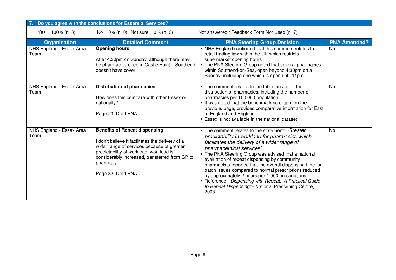|                                  | Do you agree with the conclusions for Essential Services?                                                                                                                                                                                                              |                                                                                                                                                                                                                                                                                                                                                                                                                                                                                                                                                                                            |                     |  |  |
|----------------------------------|------------------------------------------------------------------------------------------------------------------------------------------------------------------------------------------------------------------------------------------------------------------------|--------------------------------------------------------------------------------------------------------------------------------------------------------------------------------------------------------------------------------------------------------------------------------------------------------------------------------------------------------------------------------------------------------------------------------------------------------------------------------------------------------------------------------------------------------------------------------------------|---------------------|--|--|
| $Yes = 100\% (n=8)$              | $No = 0\% (n=0)$ Not sure = $0\% (n=0)$                                                                                                                                                                                                                                | Not answered / Feedback Form Not Used (n=7)                                                                                                                                                                                                                                                                                                                                                                                                                                                                                                                                                |                     |  |  |
| <b>Organisation</b>              | <b>Detailed Comment</b>                                                                                                                                                                                                                                                | <b>PNA Steering Group Decision</b>                                                                                                                                                                                                                                                                                                                                                                                                                                                                                                                                                         | <b>PNA Amended?</b> |  |  |
| NHS England - Essex Area<br>Team | <b>Opening hours</b><br>After 4.30pm on Sunday although there may<br>be pharmacies open in Castle Point if Southend<br>doesn't have cover                                                                                                                              | • NHS England confirmed that this comment relates to<br>retail trading law within the UK which restricts<br>supermarket opening hours<br>• The PNA Steering Group noted that several pharmacies,<br>within Southend-on-Sea, open beyond 4:30pm on a<br>Sunday, including one which is open until 11pm                                                                                                                                                                                                                                                                                      | No                  |  |  |
| NHS England - Essex Area<br>Team | <b>Distribution of pharmacies</b><br>How does this compare with other Essex or<br>nationally?<br>Page 23, Draft PNA                                                                                                                                                    | . The comment relates to the table looking at the<br>distribution of pharmacies, including the number of<br>pharmacies per 100,000 population<br>It was noted that the benchmarking graph, on the<br>previous page, provides comparative information for East<br>of England and England<br><b>Essex is not available in the national dataset</b>                                                                                                                                                                                                                                           | No                  |  |  |
| NHS England - Essex Area<br>Team | <b>Benefits of Repeat dispensing</b><br>I don't believe it facilitates the delivery of a<br>wider range of services because of greater<br>predictability of workload, workload is<br>considerably increased, transferred from GP to<br>pharmacy.<br>Page 32, Draft PNA | • The comment relates to the statement: "Greater<br>predictability in workload for pharmacies which<br>facilitates the delivery of a wider range of<br>pharmaceutical services"<br>• The PNA Steering Group was advised that a national<br>evaluation of repeat dispensing by community<br>pharmacists reported that the overall dispensing time for<br>batch issues compared to normal prescriptions reduced<br>by approximately 2 hours per 1,000 prescriptions<br>Reference: "Dispensing with Repeat: A Practical Guide<br>to Repeat Dispensing" - National Prescribing Centre,<br>2008 | <b>No</b>           |  |  |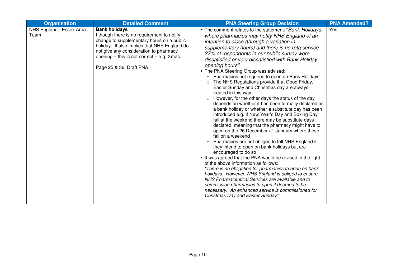| <b>Organisation</b>              | <b>Detailed Comment</b>                                                                                                                                                                                                                                                                | <b>PNA Steering Group Decision</b>                                                                                                                                                                                                                                                                                                                                                                                                                                                                                                                                                                                                                                                                                                                                                                                                                                                                                                                                                                                                                                                                                                                                                                                                                                                                                                                                                                                                                                                                                                       | <b>PNA Amended?</b> |
|----------------------------------|----------------------------------------------------------------------------------------------------------------------------------------------------------------------------------------------------------------------------------------------------------------------------------------|------------------------------------------------------------------------------------------------------------------------------------------------------------------------------------------------------------------------------------------------------------------------------------------------------------------------------------------------------------------------------------------------------------------------------------------------------------------------------------------------------------------------------------------------------------------------------------------------------------------------------------------------------------------------------------------------------------------------------------------------------------------------------------------------------------------------------------------------------------------------------------------------------------------------------------------------------------------------------------------------------------------------------------------------------------------------------------------------------------------------------------------------------------------------------------------------------------------------------------------------------------------------------------------------------------------------------------------------------------------------------------------------------------------------------------------------------------------------------------------------------------------------------------------|---------------------|
| NHS England - Essex Area<br>Team | <b>Bank holidays</b><br>I though there is no requirement to notify<br>change to supplementary hours on a public<br>holiday. It also implies that NHS England do<br>not give any consideration to pharmacy<br>opening $-$ this is not correct $-$ e.g. Xmas.<br>Page 25 & 36, Draft PNA | • The comment relates to the statement: "Bank Holidays,<br>where pharmacies may notify NHS England of an<br>intention to close (through a variation in<br>supplementary hours) and there is no rota service.<br>27% of respondents in our public survey were<br>dissatisfied or very dissatisfied with Bank Holiday<br>opening hours"<br>. The PNA Steering Group was advised:<br>Pharmacies not required to open on Bank Holidays<br>The NHS Regulations provide that Good Friday,<br>$\circ$<br>Easter Sunday and Christmas day are always<br>treated in this way<br>However, for the other days the status of the day<br>$\circ$<br>depends on whether it has been formally declared as<br>a bank holiday or whether a substitute day has been<br>introduced e.g. if New Year's Day and Boxing Day<br>fall at the weekend there may be substitute days<br>declared, meaning that the pharmacy might have to<br>open on the 26 December / 1 January where these<br>fall on a weekend<br>o Pharmacies are not obliged to tell NHS England if<br>they intend to open on bank holidays but are<br>encouraged to do so<br>It was agreed that the PNA would be revised in the light<br>of the above information as follows:<br>"There is no obligation for pharmacies to open on bank<br>holidays. However, NHS England is obliged to ensure<br>NHS Pharmaceutical Services are available and to<br>commission pharmacies to open if deemed to be<br>necessary. An enhanced service is commissioned for<br>Christmas Day and Easter Sunday" | Yes                 |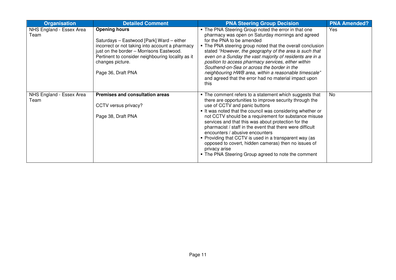| <b>Organisation</b>              | <b>Detailed Comment</b>                                                                                                                                                                                                                                         | <b>PNA Steering Group Decision</b>                                                                                                                                                                                                                                                                                                                                                                                                                                                                                                                                                                                        | <b>PNA Amended?</b> |
|----------------------------------|-----------------------------------------------------------------------------------------------------------------------------------------------------------------------------------------------------------------------------------------------------------------|---------------------------------------------------------------------------------------------------------------------------------------------------------------------------------------------------------------------------------------------------------------------------------------------------------------------------------------------------------------------------------------------------------------------------------------------------------------------------------------------------------------------------------------------------------------------------------------------------------------------------|---------------------|
| NHS England - Essex Area<br>Team | <b>Opening hours</b><br>Saturdays - Eastwood [Park] Ward - either<br>incorrect or not taking into account a pharmacy<br>just on the border - Morrisons Eastwood.<br>Pertinent to consider neighbouring locality as it<br>changes picture.<br>Page 36, Draft PNA | . The PNA Steering Group noted the error in that one<br>pharmacy was open on Saturday mornings and agreed<br>for the PNA to be amended<br>. The PNA steering group noted that the overall conclusion<br>stated "However, the geography of the area is such that<br>even on a Sunday the vast majority of residents are in a<br>position to access pharmacy services, either within<br>Southend-on-Sea or across the border in the<br>neighbouring HWB area, within a reasonable timescale"<br>and agreed that the error had no material impact upon<br>this                                                               | Yes                 |
| NHS England - Essex Area<br>Team | <b>Premises and consultation areas</b><br>CCTV versus privacy?<br>Page 38, Draft PNA                                                                                                                                                                            | • The comment refers to a statement which suggests that<br>there are opportunities to improve security through the<br>use of CCTV and panic buttons<br>It was noted that the council was considering whether or<br>not CCTV should be a requirement for substance misuse<br>services and that this was about protection for the<br>pharmacist / staff in the event that there were difficult<br>encounters / abusive encounters<br>• Providing that CCTV is used in a transparent way (as<br>opposed to covert, hidden cameras) then no issues of<br>privacy arise<br>• The PNA Steering Group agreed to note the comment | No                  |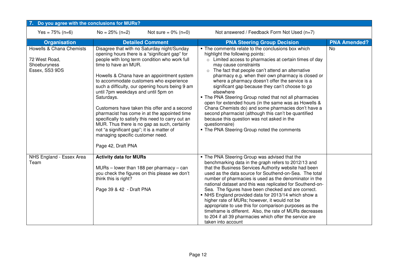| Do you agree with the conclusions for MURs?                                 |                                                                                                                                                                                                                                                                                                                                                                                                                                                                                                                                                                                                                                                                                      |                                                                                             |                                                                                                                                                                                                                                                                                                                                                                                                                                                                                                                                                                                                                                                                                                                                                                |                     |
|-----------------------------------------------------------------------------|--------------------------------------------------------------------------------------------------------------------------------------------------------------------------------------------------------------------------------------------------------------------------------------------------------------------------------------------------------------------------------------------------------------------------------------------------------------------------------------------------------------------------------------------------------------------------------------------------------------------------------------------------------------------------------------|---------------------------------------------------------------------------------------------|----------------------------------------------------------------------------------------------------------------------------------------------------------------------------------------------------------------------------------------------------------------------------------------------------------------------------------------------------------------------------------------------------------------------------------------------------------------------------------------------------------------------------------------------------------------------------------------------------------------------------------------------------------------------------------------------------------------------------------------------------------------|---------------------|
| Yes = $75\%$ (n=6)                                                          | $No = 25\% (n=2)$                                                                                                                                                                                                                                                                                                                                                                                                                                                                                                                                                                                                                                                                    | Not sure = $0\%$ (n=0)                                                                      | Not answered / Feedback Form Not Used (n=7)                                                                                                                                                                                                                                                                                                                                                                                                                                                                                                                                                                                                                                                                                                                    |                     |
| <b>Organisation</b>                                                         |                                                                                                                                                                                                                                                                                                                                                                                                                                                                                                                                                                                                                                                                                      | <b>Detailed Comment</b>                                                                     | <b>PNA Steering Group Decision</b>                                                                                                                                                                                                                                                                                                                                                                                                                                                                                                                                                                                                                                                                                                                             | <b>PNA Amended?</b> |
| Howells & Chana Chemists<br>72 West Road,<br>Shoeburyness<br>Essex, SS3 9DS | Disagree that with no Saturday night/Sunday<br>opening hours there is a "significant gap" for<br>people with long term condition who work full<br>time to have an MUR.<br>Howells & Chana have an appointment system<br>to accommodate customers who experience<br>such a difficulty, our opening hours being 9 am<br>until 7pm weekdays and until 5pm on<br>Saturdays.<br>Customers have taken this offer and a second<br>pharmacist has come in at the appointed time<br>specifically to satisfy this need to carry out an<br>MUR. Thus there is no gap as such, certainly<br>not "a significant gap"; it is a matter of<br>managing specific customer need.<br>Page 42, Draft PNA |                                                                                             | • The comments relate to the conclusions box which<br>highlight the following points:<br>o Limited access to pharmacies at certain times of day<br>may cause constraints<br>$\circ$ The fact that people can't attend an alternative<br>pharmacy e.g. when their own pharmacy is closed or<br>where a pharmacy doesn't offer the service is a<br>significant gap because they can't choose to go<br>elsewhere<br>• The PNA Steering Group noted that not all pharmacies<br>open for extended hours (in the same was as Howells &<br>Chana Chemists do) and some pharmacies don't have a<br>second pharmacist (although this can't be quantified<br>because this question was not asked in the<br>questionnaire)<br>• The PNA Steering Group noted the comments | <b>No</b>           |
| NHS England - Essex Area<br>Team                                            | <b>Activity data for MURs</b><br>think this is right?<br>Page 39 & 42 - Draft PNA                                                                                                                                                                                                                                                                                                                                                                                                                                                                                                                                                                                                    | $MURs$ – lower than 188 per pharmacy – can<br>you check the figures on this please we don't | . The PNA Steering Group was advised that the<br>benchmarking data in the graph refers to 2012/13 and<br>that the Business Services Authority website had been<br>used as the data source for Southend-on-Sea. The total<br>number of pharmacies is used as the denominator in the<br>national dataset and this was replicated for Southend-on-<br>Sea. The figures have been checked and are correct.<br>• NHS England provided data for 2013/14 which show a<br>higher rate of MURs; however, it would not be<br>appropriate to use this for comparison purposes as the<br>timeframe is different. Also, the rate of MURs decreases<br>to 204 if all 39 pharmacies which offer the service are<br>taken into account                                         |                     |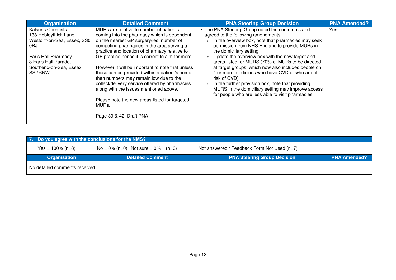| <b>Organisation</b>                                                                                                                                                         | <b>Detailed Comment</b>                                                                                                                                                                                                                                                                                                                                                                                                                                                                                                                                                                                               | <b>PNA Steering Group Decision</b>                                                                                                                                                                                                                                                                                                                                                                                                                                                                                                                                                                                                                         | <b>PNA Amended?</b> |
|-----------------------------------------------------------------------------------------------------------------------------------------------------------------------------|-----------------------------------------------------------------------------------------------------------------------------------------------------------------------------------------------------------------------------------------------------------------------------------------------------------------------------------------------------------------------------------------------------------------------------------------------------------------------------------------------------------------------------------------------------------------------------------------------------------------------|------------------------------------------------------------------------------------------------------------------------------------------------------------------------------------------------------------------------------------------------------------------------------------------------------------------------------------------------------------------------------------------------------------------------------------------------------------------------------------------------------------------------------------------------------------------------------------------------------------------------------------------------------------|---------------------|
| <b>Kalsons Chemists</b><br>138 Hobleythick Lane,<br>Westcliff-on-Sea, Essex, SS0<br>0RJ<br>Earls Hall Pharmacy<br>8 Earls Hall Parade,<br>Southend-on-Sea, Essex<br>SS2 6NW | MURs are relative to number of patients<br>coming into the pharmacy which is dependent<br>on the nearest GP surgery/ies, number of<br>competing pharmacies in the area serving a<br>practice and location of pharmacy relative to<br>GP practice hence it is correct to aim for more.<br>However it will be important to note that unless<br>these can be provided within a patient's home<br>then numbers may remain low due to the<br>collect/delivery service offered by pharmacies<br>along with the issues mentioned above.<br>Please note the new areas listed for targeted<br>MURs.<br>Page 39 & 42, Draft PNA | . The PNA Steering Group noted the comments and<br>agreed to the following amendments:<br>In the overview box, note that pharmacies may seek<br>$\circ$<br>permission from NHS England to provide MURs in<br>the domiciliary setting<br>Update the overview box with the new target and<br>$\circ$<br>areas listed for MURS (70% of MURs to be directed<br>at target groups, which now also includes people on<br>4 or more medicines who have CVD or who are at<br>risk of CVD)<br>In the further provision box, note that providing<br>$\circ$<br>MURS in the domiciliary setting may improve access<br>for people who are less able to visit pharmacies | Yes                 |

| 7. Do you agree with the conclusions for the NMS? |                                         |                                             |                     |  |  |  |
|---------------------------------------------------|-----------------------------------------|---------------------------------------------|---------------------|--|--|--|
| Yes = $100\%$ (n=8)                               | $No = 0\% (n=0)$ Not sure = $0\% (n=0)$ | Not answered / Feedback Form Not Used (n=7) |                     |  |  |  |
| <b>Organisation</b>                               | <b>Detailed Comment</b>                 | <b>PNA Steering Group Decision</b>          | <b>PNA Amended?</b> |  |  |  |
| No detailed comments received                     |                                         |                                             |                     |  |  |  |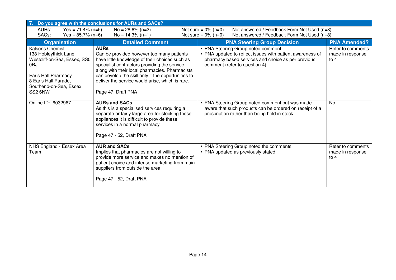| 7. Do you agree with the conclusions for AURs and SACs?                                                                                                             |                                                                                                                                                                                                                                                                                                                                             |                                                                                                                                                                                        |                                                 |  |  |  |
|---------------------------------------------------------------------------------------------------------------------------------------------------------------------|---------------------------------------------------------------------------------------------------------------------------------------------------------------------------------------------------------------------------------------------------------------------------------------------------------------------------------------------|----------------------------------------------------------------------------------------------------------------------------------------------------------------------------------------|-------------------------------------------------|--|--|--|
| AURs:<br>Yes = $71.4\%$ (n=5)                                                                                                                                       | $No = 28.6\% (n=2)$                                                                                                                                                                                                                                                                                                                         | Not sure = $0\%$ (n=0)<br>Not answered / Feedback Form Not Used (n=8)                                                                                                                  |                                                 |  |  |  |
|                                                                                                                                                                     | SACs:<br>Not sure = $0\%$ (n=0)<br>Not answered / Feedback Form Not Used (n=8)<br>Yes = $85.7\%$ (n=6)<br>$No = 14.3\% (n=1)$                                                                                                                                                                                                               |                                                                                                                                                                                        |                                                 |  |  |  |
| <b>Organisation</b>                                                                                                                                                 | <b>Detailed Comment</b>                                                                                                                                                                                                                                                                                                                     | <b>PNA Steering Group Decision</b>                                                                                                                                                     | <b>PNA Amended?</b>                             |  |  |  |
| Kalsons Chemist<br>138 Hobleythick Lane,<br>Westcliff-on-Sea, Essex, SS0<br>0RJ<br>Earls Hall Pharmacy<br>8 Earls Hall Parade,<br>Southend-on-Sea, Essex<br>SS2 6NW | <b>AURs</b><br>Can be provided however too many patients<br>have little knowledge of their choices such as<br>specialist contractors providing the service<br>along with their local pharmacies. Pharmacists<br>can develop the skill only if the opportunities to<br>deliver the service would arise, which is rare.<br>Page 47, Draft PNA | • PNA Steering Group noted comment<br>• PNA updated to reflect issues with patient awareness of<br>pharmacy based services and choice as per previous<br>comment (refer to question 4) | Refer to comments<br>made in response<br>to $4$ |  |  |  |
| Online ID: 6032967                                                                                                                                                  | <b>AURs and SACs</b><br>As this is a specialised services requiring a<br>separate or fairly large area for stocking these<br>appliances it is difficult to provide these<br>services in a normal pharmacy<br>Page 47 - 52, Draft PNA                                                                                                        | • PNA Steering Group noted comment but was made<br>aware that such products can be ordered on receipt of a<br>prescription rather than being held in stock                             | <b>No</b>                                       |  |  |  |
| NHS England - Essex Area<br>Team                                                                                                                                    | <b>AUR and SACs</b><br>Implies that pharmacies are not willing to<br>provide more service and makes no mention of<br>patient choice and intense marketing from main<br>suppliers from outside the area.<br>Page 47 - 52, Draft PNA                                                                                                          | • PNA Steering Group noted the comments<br>• PNA updated as previously stated                                                                                                          | Refer to comments<br>made in response<br>to $4$ |  |  |  |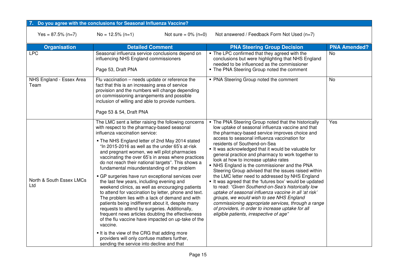#### **7.Do you agree with the conclusions for Seasonal Influenza Vaccine?**

 $Yes = 87.5\% (n=7)$  No = 12.5% (n=1) Not sure = 0% (n=0) Not answered / Feedback Form Not Used (n=7)

| <b>Organisation</b>              | <b>Detailed Comment</b>                                                                                                                                                                                                                                                                                                                                                                                                                                                                                                                                                                                                                                                                                                                                                                                                                                                                                                                                                                                                                                                                          | <b>PNA Steering Group Decision</b>                                                                                                                                                                                                                                                                                                                                                                                                                                                                                                                                                                                                                                                                                                                                                                                                                                                                                                   | <b>PNA Amended?</b> |
|----------------------------------|--------------------------------------------------------------------------------------------------------------------------------------------------------------------------------------------------------------------------------------------------------------------------------------------------------------------------------------------------------------------------------------------------------------------------------------------------------------------------------------------------------------------------------------------------------------------------------------------------------------------------------------------------------------------------------------------------------------------------------------------------------------------------------------------------------------------------------------------------------------------------------------------------------------------------------------------------------------------------------------------------------------------------------------------------------------------------------------------------|--------------------------------------------------------------------------------------------------------------------------------------------------------------------------------------------------------------------------------------------------------------------------------------------------------------------------------------------------------------------------------------------------------------------------------------------------------------------------------------------------------------------------------------------------------------------------------------------------------------------------------------------------------------------------------------------------------------------------------------------------------------------------------------------------------------------------------------------------------------------------------------------------------------------------------------|---------------------|
| <b>LPC</b>                       | Seasonal influenza service conclusions depend on<br>influencing NHS England commissioners<br>Page 53, Draft PNA                                                                                                                                                                                                                                                                                                                                                                                                                                                                                                                                                                                                                                                                                                                                                                                                                                                                                                                                                                                  | . The LPC confirmed that they agreed with the<br>conclusions but were highlighting that NHS England<br>needed to be influenced as the commissioner<br>. The PNA Steering Group noted the comment                                                                                                                                                                                                                                                                                                                                                                                                                                                                                                                                                                                                                                                                                                                                     | <b>No</b>           |
| NHS England - Essex Area<br>Team | Flu vaccination – needs update or reference the<br>fact that this is an increasing area of service<br>provision and the numbers will change depending<br>on commissioning arrangements and possible<br>inclusion of willing and able to provide numbers.<br>Page 53 & 54, Draft PNA                                                                                                                                                                                                                                                                                                                                                                                                                                                                                                                                                                                                                                                                                                                                                                                                              | • PNA Steering Group noted the comment                                                                                                                                                                                                                                                                                                                                                                                                                                                                                                                                                                                                                                                                                                                                                                                                                                                                                               | <b>No</b>           |
| North & South Essex LMCs<br>Ltd  | The LMC sent a letter raising the following concerns<br>with respect to the pharmacy-based seasonal<br>influenza vaccination service:<br>• The NHS England letter of 2nd May 2014 stated<br>"In 2015-2016 as well as the under 65's at-risk<br>and pregnant women, we will pilot pharmacies<br>vaccinating the over 65's in areas where practices<br>do not reach their national targets". This shows a<br>fundamental misunderstanding of the problem<br>• GP surgeries have run exceptional services over<br>the last few years, including evening and<br>weekend clinics, as well as encouraging patients<br>to attend for vaccination by letter, phone and text.<br>The problem lies with a lack of demand and with<br>patients being indifferent about it, despite many<br>requests to attend by surgeries. Additionally,<br>frequent news articles doubting the effectiveness<br>of the flu vaccine have impacted on up-take of the<br>vaccine.<br>If is the view of the CRG that adding more<br>providers will only confuse matters further,<br>sending the service into decline and that | . The PNA Steering Group noted that the historically<br>low uptake of seasonal influenza vaccine and that<br>the pharmacy-based service improves choice and<br>access to seasonal influenza vaccination for<br>residents of Southend-on-Sea<br>It was acknowledged that it would be valuable for<br>general practice and pharmacy to work together to<br>look at how to increase uptake rates<br>• NHS England is the commissioner and the PNA<br>Steering Group advised that the issues raised within<br>the LMC letter need to addressed by NHS England<br>It was agreed that the 'futures box' would be updated<br>to read: "Given Southend-on-Sea's historically low<br>uptake of seasonal influenza vaccine in all 'at risk'<br>groups, we would wish to see NHS England<br>commissioning appropriate services, through a range<br>of providers, in order to increase uptake for all<br>eligible patients, irrespective of age" | Yes                 |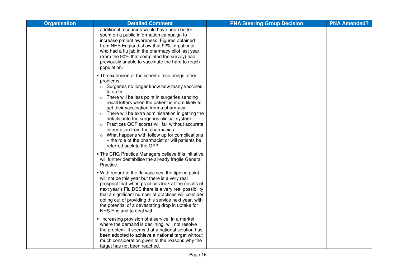| <b>Organisation</b> | <b>Detailed Comment</b>                                                                                                                                                                                                                                                                                                                                                                                                                                                                                                                                                                                                                 | <b>PNA Steering Group Decision</b> | <b>PNA Amended?</b> |
|---------------------|-----------------------------------------------------------------------------------------------------------------------------------------------------------------------------------------------------------------------------------------------------------------------------------------------------------------------------------------------------------------------------------------------------------------------------------------------------------------------------------------------------------------------------------------------------------------------------------------------------------------------------------------|------------------------------------|---------------------|
|                     | additional resources would have been better<br>spent on a public information campaign to<br>increase patient awareness. Figures obtained<br>from NHS England show that 92% of patients<br>who had a flu jab in the pharmacy pilot last year<br>(from the 90% that completed the survey) had<br>previously unable to vaccinate the hard to reach<br>population.                                                                                                                                                                                                                                                                          |                                    |                     |
|                     | . The extension of the scheme also brings other<br>problems:-<br>o Surgeries no longer know how many vaccines<br>to order.<br>There will be less point in surgeries sending<br>$\circ$<br>recall letters when the patient is more likely to<br>get their vaccination from a pharmacy.<br>There will be extra administration in getting the<br>$\circ$<br>details onto the surgeries clinical system.<br>Practices QOF scores will fall without accurate<br>$\circ$<br>information from the pharmacies.<br>What happens with follow up for complications<br>- the role of the pharmacist or will patients be<br>referred back to the GP? |                                    |                     |
|                     | • The CRG Practice Managers believe this initiative<br>will further destabilise the already fragile General<br>Practice.                                                                                                                                                                                                                                                                                                                                                                                                                                                                                                                |                                    |                     |
|                     | . With regard to the flu vaccines, the tipping point<br>will not be this year but there is a very real<br>prospect that when practices look at the results of<br>next year's Flu DES there is a very real possibility<br>that a significant number of practices will consider<br>opting out of providing this service next year, with<br>the potential of a devastating drop in uptake for<br>NHS England to deal with                                                                                                                                                                                                                  |                                    |                     |
|                     | • Increasing provision of a service, in a market<br>where the demand is declining, will not resolve<br>the problem. It seems that a national solution has<br>been adopted to achieve a national target without<br>much consideration given to the reasons why the<br>target has not been reached.                                                                                                                                                                                                                                                                                                                                       |                                    |                     |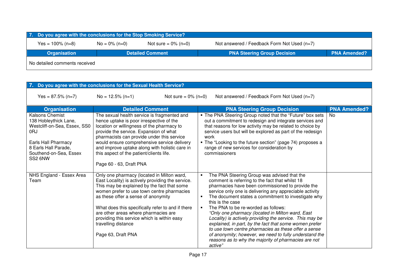| 7. Do you agree with the conclusions for the Stop Smoking Service?                                               |  |                         |                                    |                     |  |
|------------------------------------------------------------------------------------------------------------------|--|-------------------------|------------------------------------|---------------------|--|
| Not answered / Feedback Form Not Used (n=7)<br>Yes = $100\%$ (n=8)<br>$No = 0\% (n=0)$<br>Not sure = $0\%$ (n=0) |  |                         |                                    |                     |  |
| <b>Organisation</b>                                                                                              |  | <b>Detailed Comment</b> | <b>PNA Steering Group Decision</b> | <b>PNA Amended?</b> |  |
| No detailed comments received                                                                                    |  |                         |                                    |                     |  |

| 7. Do you agree with the conclusions for the Sexual Health Service?                                                                                                                     |                                                                                                                                                                                                                                                                                                                                                                                                                              |                                                                                                                                                                                                                                                                                                                                                                                                                                                                                                                                                                                                                                                                                                                                                      |                     |  |
|-----------------------------------------------------------------------------------------------------------------------------------------------------------------------------------------|------------------------------------------------------------------------------------------------------------------------------------------------------------------------------------------------------------------------------------------------------------------------------------------------------------------------------------------------------------------------------------------------------------------------------|------------------------------------------------------------------------------------------------------------------------------------------------------------------------------------------------------------------------------------------------------------------------------------------------------------------------------------------------------------------------------------------------------------------------------------------------------------------------------------------------------------------------------------------------------------------------------------------------------------------------------------------------------------------------------------------------------------------------------------------------------|---------------------|--|
| Yes = $87.5\%$ (n=7)                                                                                                                                                                    | $No = 12.5\% (n=1)$<br>Not sure = $0\%$ (n=0)                                                                                                                                                                                                                                                                                                                                                                                | Not answered / Feedback Form Not Used $(n=7)$                                                                                                                                                                                                                                                                                                                                                                                                                                                                                                                                                                                                                                                                                                        |                     |  |
| <b>Organisation</b>                                                                                                                                                                     | <b>Detailed Comment</b>                                                                                                                                                                                                                                                                                                                                                                                                      | <b>PNA Steering Group Decision</b>                                                                                                                                                                                                                                                                                                                                                                                                                                                                                                                                                                                                                                                                                                                   | <b>PNA Amended?</b> |  |
| <b>Kalsons Chemist</b><br>138 Hobleythick Lane,<br>Westcliff-on-Sea, Essex, SS0<br>0 <sub>R</sub> J<br>Earls Hall Pharmacy<br>8 Earls Hall Parade,<br>Southend-on-Sea, Essex<br>SS2 6NW | The sexual health service is fragmented and<br>hence uptake is poor irrespective of the<br>location or willingness of the pharmacy to<br>provide the service. Expansion of what<br>pharmacists can provide under this service<br>would ensure comprehensive service delivery<br>and improve uptake along with holistic care in<br>this aspect of the patient/clients life.<br>Page 60 - 63, Draft PNA                        | . The PNA Steering Group noted that the "Future" box sets<br>out a commitment to redesign and integrate services and<br>that reasons for low activity may be related to choice by<br>service users but will be explored as part of the redesign<br>work<br>• The "Looking to the future section" (page 74) proposes a<br>range of new services for consideration by<br>commissioners                                                                                                                                                                                                                                                                                                                                                                 | <b>No</b>           |  |
| NHS England - Essex Area<br>Team                                                                                                                                                        | Only one pharmacy (located in Milton ward,<br>East Locality) is actively providing the service.<br>This may be explained by the fact that some<br>women prefer to use town centre pharmacies<br>as these offer a sense of anonymity<br>What does this specifically refer to and if there<br>are other areas where pharmacies are<br>providing this service which is within easy<br>travelling distance<br>Page 63, Draft PNA | The PNA Steering Group was advised that the<br>$\blacksquare$<br>comment is referring to the fact that whilst 18<br>pharmacies have been commissioned to provide the<br>service only one is delivering any appreciable activity<br>The document states a commitment to investigate why<br>$\blacksquare$<br>this is the case<br>The PNA to be re-worded as follows:<br>$\blacksquare$<br>"Only one pharmacy (located in Milton ward, East<br>Locality) is actively providing the service. This may be<br>explained, in part, by the fact that some women prefer<br>to use town centre pharmacies as these offer a sense<br>of anonymity; however, we need to fully understand the<br>reasons as to why the majority of pharmacies are not<br>active" |                     |  |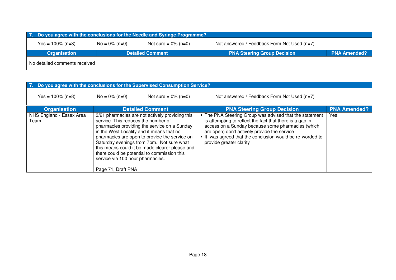|                               | 7. Do you agree with the conclusions for the Needle and Syringe Programme? |                         |                                             |                     |  |  |  |
|-------------------------------|----------------------------------------------------------------------------|-------------------------|---------------------------------------------|---------------------|--|--|--|
| $Yes = 100\% (n=8)$           | $No = 0\% (n=0)$                                                           | Not sure = $0\%$ (n=0)  | Not answered / Feedback Form Not Used (n=7) |                     |  |  |  |
| <b>Organisation</b>           |                                                                            | <b>Detailed Comment</b> | <b>PNA Steering Group Decision</b>          | <b>PNA Amended?</b> |  |  |  |
| No detailed comments received |                                                                            |                         |                                             |                     |  |  |  |

| 7. Do you agree with the conclusions for the Supervised Consumption Service? |                                                                                               |                                                                                                                                                                                                                                                                                                                                             |                                                                                                                                                                                                                                                                                                                |                     |
|------------------------------------------------------------------------------|-----------------------------------------------------------------------------------------------|---------------------------------------------------------------------------------------------------------------------------------------------------------------------------------------------------------------------------------------------------------------------------------------------------------------------------------------------|----------------------------------------------------------------------------------------------------------------------------------------------------------------------------------------------------------------------------------------------------------------------------------------------------------------|---------------------|
| Yes = $100\%$ (n=8)                                                          | $No = 0\% (n=0)$                                                                              | Not sure = $0\%$ (n=0)                                                                                                                                                                                                                                                                                                                      | Not answered / Feedback Form Not Used (n=7)                                                                                                                                                                                                                                                                    |                     |
| <b>Organisation</b>                                                          |                                                                                               | <b>Detailed Comment</b>                                                                                                                                                                                                                                                                                                                     | <b>PNA Steering Group Decision</b>                                                                                                                                                                                                                                                                             | <b>PNA Amended?</b> |
| NHS England - Essex Area<br>Team                                             | service. This reduces the number of<br>service via 100 hour pharmacies.<br>Page 71, Draft PNA | 3/21 pharmacies are not actively providing this<br>pharmacies providing the service on a Sunday<br>in the West Locality and it means that no<br>pharmacies are open to provide the service on<br>Saturday evenings from 7pm. Not sure what<br>this means could it be made clearer please and<br>there could be potential to commission this | • The PNA Steering Group was advised that the statement<br>is attempting to reflect the fact that there is a gap in<br>access on a Sunday because some pharmacies (which<br>are open) don't actively provide the service<br>It was agreed that the conclusion would be re-worded to<br>provide greater clarity | <b>Yes</b>          |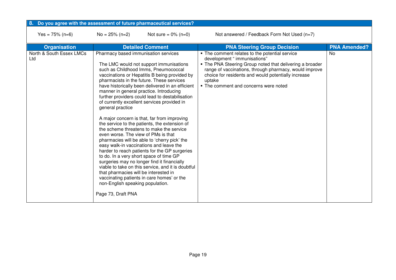| Do you agree with the assessment of future pharmaceutical services? |                                                                                                                                                                                                                                               |                                                                                                                                                                                                                                                                                                                                                                                                                                                                                                                                                                                                                                                                                                                                                                                                                           |                                                                                                                                                                                                                                                                                                                |                     |
|---------------------------------------------------------------------|-----------------------------------------------------------------------------------------------------------------------------------------------------------------------------------------------------------------------------------------------|---------------------------------------------------------------------------------------------------------------------------------------------------------------------------------------------------------------------------------------------------------------------------------------------------------------------------------------------------------------------------------------------------------------------------------------------------------------------------------------------------------------------------------------------------------------------------------------------------------------------------------------------------------------------------------------------------------------------------------------------------------------------------------------------------------------------------|----------------------------------------------------------------------------------------------------------------------------------------------------------------------------------------------------------------------------------------------------------------------------------------------------------------|---------------------|
| Yes = $75\%$ (n=6)                                                  | $No = 25\% (n=2)$                                                                                                                                                                                                                             | Not sure = $0\%$ (n=0)                                                                                                                                                                                                                                                                                                                                                                                                                                                                                                                                                                                                                                                                                                                                                                                                    | Not answered / Feedback Form Not Used (n=7)                                                                                                                                                                                                                                                                    |                     |
| <b>Organisation</b>                                                 |                                                                                                                                                                                                                                               | <b>Detailed Comment</b>                                                                                                                                                                                                                                                                                                                                                                                                                                                                                                                                                                                                                                                                                                                                                                                                   | <b>PNA Steering Group Decision</b>                                                                                                                                                                                                                                                                             | <b>PNA Amended?</b> |
| North & South Essex LMCs<br>Ltd                                     | Pharmacy based immunisation services<br>general practice<br>even worse. The view of PMs is that<br>to do. In a very short space of time GP<br>that pharmacies will be interested in<br>non-English speaking population.<br>Page 73, Draft PNA | The LMC would not support immunisations<br>such as Childhood Imms, Pneumococcal<br>vaccinations or Hepatitis B being provided by<br>pharmacists in the future. These services<br>have historically been delivered in an efficient<br>manner in general practice. Introducing<br>further providers could lead to destabilisation<br>of currently excellent services provided in<br>A major concern is that, far from improving<br>the service to the patients, the extension of<br>the scheme threatens to make the service<br>pharmacies will be able to 'cherry pick' the<br>easy walk-in vaccinations and leave the<br>harder to reach patients for the GP surgeries<br>surgeries may no longer find it financially<br>viable to take on this service, and it is doubtful<br>vaccinating patients in care homes' or the | • The comment relates to the potential service<br>development " immunisations"<br>• The PNA Steering Group noted that delivering a broader<br>range of vaccinations, through pharmacy, would improve<br>choice for residents and would potentially increase<br>uptake<br>• The comment and concerns were noted | <b>No</b>           |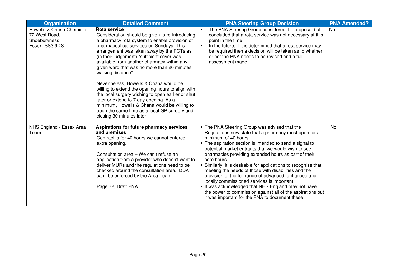| <b>Organisation</b>                                                         | <b>Detailed Comment</b>                                                                                                                                                                                                                                                                                                                                                                                                                                                                                                                                                                                                                                                                              | <b>PNA Steering Group Decision</b>                                                                                                                                                                                                                                                                                                                                                                                                                                                                                                                                                                                                                                                                                            | <b>PNA Amended?</b> |
|-----------------------------------------------------------------------------|------------------------------------------------------------------------------------------------------------------------------------------------------------------------------------------------------------------------------------------------------------------------------------------------------------------------------------------------------------------------------------------------------------------------------------------------------------------------------------------------------------------------------------------------------------------------------------------------------------------------------------------------------------------------------------------------------|-------------------------------------------------------------------------------------------------------------------------------------------------------------------------------------------------------------------------------------------------------------------------------------------------------------------------------------------------------------------------------------------------------------------------------------------------------------------------------------------------------------------------------------------------------------------------------------------------------------------------------------------------------------------------------------------------------------------------------|---------------------|
| Howells & Chana Chemists<br>72 West Road,<br>Shoeburyness<br>Essex, SS3 9DS | Rota service<br>Consideration should be given to re-introducing<br>a pharmacy rota system to enable provision of<br>pharmaceutical services on Sundays. This<br>arrangement was taken away by the PCTs as<br>(in their judgement) "sufficient cover was<br>available from another pharmacy within any<br>given ward that was no more than 20 minutes<br>walking distance".<br>Nevertheless, Howells & Chana would be<br>willing to extend the opening hours to align with<br>the local surgery wishing to open earlier or shut<br>later or extend to 7 day opening. As a<br>minimum, Howells & Chana would be willing to<br>open the same time as a local GP surgery and<br>closing 30 minutes later | The PNA Steering Group considered the proposal but<br>concluded that a rota service was not necessary at this<br>point in the time<br>In the future, if it is determined that a rota service may<br>$\blacksquare$<br>be required then a decision will be taken as to whether<br>or not the PNA needs to be revised and a full<br>assessment made                                                                                                                                                                                                                                                                                                                                                                             | <b>No</b>           |
| NHS England - Essex Area<br>Team                                            | Aspirations for future pharmacy services<br>and premises<br>Contract is for 40 hours we cannot enforce<br>extra opening.<br>Consultation area - We can't refuse an<br>application from a provider who doesn't want to<br>deliver MURs and the regulations need to be<br>checked around the consultation area. DDA<br>can't be enforced by the Area Team.<br>Page 72, Draft PNA                                                                                                                                                                                                                                                                                                                       | . The PNA Steering Group was advised that the<br>Regulations now state that a pharmacy must open for a<br>minimum of 40 hours<br>• The aspiration section is intended to send a signal to<br>potential market entrants that we would wish to see<br>pharmacies providing extended hours as part of their<br>core hours<br>• Similarly, it is desirable for applications to recognise that<br>meeting the needs of those with disabilities and the<br>provision of the full range of advanced, enhanced and<br>locally commissioned services is important<br>It was acknowledged that NHS England may not have<br>the power to commission against all of the aspirations but<br>it was important for the PNA to document these | No                  |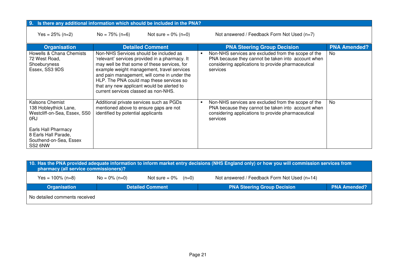| Is there any additional information which should be included in the PNA?<br>9.                                                                                      |                                                                                                                              |                                                                                                                                                                                                                                         |  |                                                                                                                                                                             |                     |
|---------------------------------------------------------------------------------------------------------------------------------------------------------------------|------------------------------------------------------------------------------------------------------------------------------|-----------------------------------------------------------------------------------------------------------------------------------------------------------------------------------------------------------------------------------------|--|-----------------------------------------------------------------------------------------------------------------------------------------------------------------------------|---------------------|
| Yes = $25\%$ (n=2)                                                                                                                                                  | $No = 75\% (n=6)$                                                                                                            | Not sure = $0\%$ (n=0)                                                                                                                                                                                                                  |  | Not answered / Feedback Form Not Used $(n=7)$                                                                                                                               |                     |
| <b>Organisation</b>                                                                                                                                                 |                                                                                                                              | <b>Detailed Comment</b>                                                                                                                                                                                                                 |  | <b>PNA Steering Group Decision</b>                                                                                                                                          | <b>PNA Amended?</b> |
| Howells & Chana Chemists<br>72 West Road,<br>Shoeburyness<br>Essex, SS3 9DS                                                                                         | Non-NHS Services should be included as<br>that any new applicant would be alerted to<br>current services classed as non-NHS. | 'relevant' services provided in a pharmacy. It<br>may well be that some of these services, for<br>example weight management, travel services<br>and pain management, will come in under the<br>HLP. The PNA could map these services so |  | Non-NHS services are excluded from the scope of the<br>PNA because they cannot be taken into account when<br>considering applications to provide pharmaceutical<br>services | No.                 |
| Kalsons Chemist<br>138 Hobleythick Lane,<br>Westcliff-on-Sea, Essex, SS0<br>0RJ<br>Earls Hall Pharmacy<br>8 Earls Hall Parade,<br>Southend-on-Sea, Essex<br>SS2 6NW | Additional private services such as PGDs<br>mentioned above to ensure gaps are not<br>identified by potential applicants     |                                                                                                                                                                                                                                         |  | Non-NHS services are excluded from the scope of the<br>PNA because they cannot be taken into account when<br>considering applications to provide pharmaceutical<br>services | N <sub>o</sub>      |

| 10. Has the PNA provided adequate information to inform market entry decisions (NHS England only) or how you will commission services from<br>pharmacy (all service commissioners)? |                  |                         |                                              |                     |  |
|-------------------------------------------------------------------------------------------------------------------------------------------------------------------------------------|------------------|-------------------------|----------------------------------------------|---------------------|--|
| Yes = $100\%$ (n=8)                                                                                                                                                                 | $No = 0\% (n=0)$ | Not sure = $0\%$ (n=0)  | Not answered / Feedback Form Not Used (n=14) |                     |  |
| Organisation                                                                                                                                                                        |                  | <b>Detailed Comment</b> | <b>PNA Steering Group Decision</b>           | <b>PNA Amended?</b> |  |
| No detailed comments received                                                                                                                                                       |                  |                         |                                              |                     |  |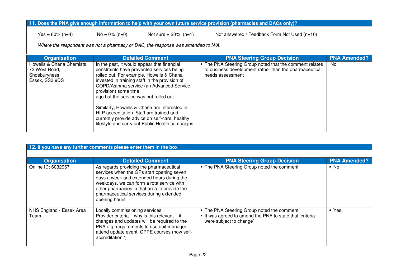#### **11. Does the PNA give enough information to help with your own future service provision (pharmacies and DACs only)?**

 $Yes = 80\% (n=4)$  No = 0% (n=0) Not sure = 20% (n=1) Not answered / Feedback Form Not Used (n=10)

*Where the respondent was not a pharmacy or DAC, the response was amended to N/A.* 

| <b>Organisation</b>                                                         | <b>Detailed Comment</b>                                                                                                                                                                                                                                                                                                                                                                                                                                                                                 | <b>PNA Steering Group Decision</b>                                                                                                    | <b>PNA Amended?</b> |
|-----------------------------------------------------------------------------|---------------------------------------------------------------------------------------------------------------------------------------------------------------------------------------------------------------------------------------------------------------------------------------------------------------------------------------------------------------------------------------------------------------------------------------------------------------------------------------------------------|---------------------------------------------------------------------------------------------------------------------------------------|---------------------|
| Howells & Chana Chemists<br>72 West Road,<br>Shoeburyness<br>Essex, SS3 9DS | In the past, it would appear that financial<br>constraints have prevented services being<br>rolled out. For example, Howells & Chana<br>invested in training staff in the provision of<br>COPD/Asthma service (an Advanced Service<br>provision) some time<br>ago but the service was not rolled out.<br>Similarly, Howells & Chana are interested in<br>HLP accreditation. Staff are trained and<br>currently provide advice on self-care, healthy<br>lifestyle and carry out Public Health campaigns. | • The PNA Steering Group noted that the comment relates<br>to business development rather than the pharmaceutical<br>needs assessment | No.                 |

| 12. If you have any further comments please enter them in the box |                                                                                                                                                                                                                                                                                            |                                                                                                                                 |                     |  |  |
|-------------------------------------------------------------------|--------------------------------------------------------------------------------------------------------------------------------------------------------------------------------------------------------------------------------------------------------------------------------------------|---------------------------------------------------------------------------------------------------------------------------------|---------------------|--|--|
|                                                                   |                                                                                                                                                                                                                                                                                            |                                                                                                                                 |                     |  |  |
| <b>Organisation</b>                                               | <b>Detailed Comment</b>                                                                                                                                                                                                                                                                    | <b>PNA Steering Group Decision</b>                                                                                              | <b>PNA Amended?</b> |  |  |
| Online ID: 6032967                                                | As regards providing the pharmaceutical<br>services when the GPs start opening seven<br>days a week and extended hours during the<br>weekdays, we can form a rota service with<br>other pharmacies in that area to provide the<br>pharmaceutical services during extended<br>opening hours | . The PNA Steering Group noted the comment                                                                                      | $\blacksquare$ No   |  |  |
| NHS England - Essex Area<br>Team                                  | Locally commissioning services<br>Provider criteria – why is this relevant – it<br>changes and updates will be required to the<br>PNA e.g. requirements to use quit manager,<br>attend update event, CPPE courses (now self-<br>accreditation?)                                            | . The PNA Steering Group noted the comment<br>It was agreed to amend the PNA to state that 'criteria<br>were subject to change' | • Yes               |  |  |